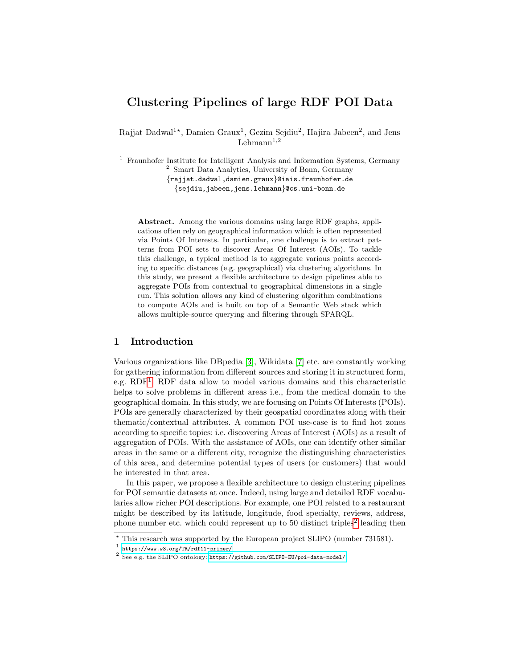# Clustering Pipelines of large RDF POI Data

Rajjat Dadwal<sup>1\*</sup>, Damien Graux<sup>1</sup>, Gezim Sejdiu<sup>2</sup>, Hajira Jabeen<sup>2</sup>, and Jens  $\mathbf{Lehmann}^{1,2}$ 

<sup>1</sup> Fraunhofer Institute for Intelligent Analysis and Information Systems, Germany <sup>2</sup> Smart Data Analytics, University of Bonn, Germany {rajjat.dadwal,damien.graux}@iais.fraunhofer.de {sejdiu,jabeen,jens.lehmann}@cs.uni-bonn.de

Abstract. Among the various domains using large RDF graphs, applications often rely on geographical information which is often represented via Points Of Interests. In particular, one challenge is to extract patterns from POI sets to discover Areas Of Interest (AOIs). To tackle this challenge, a typical method is to aggregate various points according to specific distances (e.g. geographical) via clustering algorithms. In this study, we present a flexible architecture to design pipelines able to aggregate POIs from contextual to geographical dimensions in a single run. This solution allows any kind of clustering algorithm combinations to compute AOIs and is built on top of a Semantic Web stack which allows multiple-source querying and filtering through SPARQL.

#### 1 Introduction

Various organizations like DBpedia [\[3\]](#page-3-0), Wikidata [\[7\]](#page-3-1) etc. are constantly working for gathering information from different sources and storing it in structured form, e.g. RDF<sup>[1](#page-0-0)</sup>. RDF data allow to model various domains and this characteristic helps to solve problems in different areas i.e., from the medical domain to the geographical domain. In this study, we are focusing on Points Of Interests (POIs). POIs are generally characterized by their geospatial coordinates along with their thematic/contextual attributes. A common POI use-case is to find hot zones according to specific topics: i.e. discovering Areas of Interest (AOIs) as a result of aggregation of POIs. With the assistance of AOIs, one can identify other similar areas in the same or a different city, recognize the distinguishing characteristics of this area, and determine potential types of users (or customers) that would be interested in that area.

In this paper, we propose a flexible architecture to design clustering pipelines for POI semantic datasets at once. Indeed, using large and detailed RDF vocabularies allow richer POI descriptions. For example, one POI related to a restaurant might be described by its latitude, longitude, food specialty, reviews, address, phone number etc. which could represent up to 50 distinct triples<sup>[2](#page-0-1)</sup> leading then

<sup>?</sup> This research was supported by the European project SLIPO (number 731581).

<span id="page-0-0"></span><sup>1</sup> <https://www.w3.org/TR/rdf11-primer/>

<span id="page-0-1"></span> $^{2}$  See e.g. the SLIPO ontology: <https://github.com/SLIPO-EU/poi-data-model/>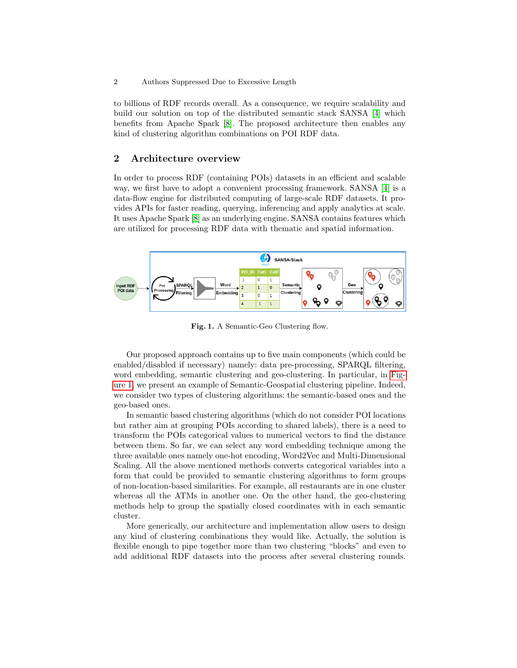to billions of RDF records overall. As a consequence, we require scalability and build our solution on top of the distributed semantic stack SANSA [\[4\]](#page-3-2) which benefits from Apache Spark [\[8\]](#page-3-3). The proposed architecture then enables any kind of clustering algorithm combinations on POI RDF data.

#### 2 Architecture overview

In order to process RDF (containing POIs) datasets in an efficient and scalable way, we first have to adopt a convenient processing framework. SANSA [\[4\]](#page-3-2) is a data-flow engine for distributed computing of large-scale RDF datasets. It provides APIs for faster reading, querying, inferencing and apply analytics at scale. It uses Apache Spark [\[8\]](#page-3-3) as an underlying engine. SANSA contains features which are utilized for processing RDF data with thematic and spatial information.



<span id="page-1-0"></span>Fig. 1. A Semantic-Geo Clustering flow.

Our proposed approach contains up to five main components (which could be enabled/disabled if necessary) namely: data pre-processing, SPARQL filtering, word embedding, semantic clustering and geo-clustering. In particular, in [Fig](#page-1-0)[ure 1,](#page-1-0) we present an example of Semantic-Geospatial clustering pipeline. Indeed, we consider two types of clustering algorithms: the semantic-based ones and the geo-based ones.

In semantic based clustering algorithms (which do not consider POI locations but rather aim at grouping POIs according to shared labels), there is a need to transform the POIs categorical values to numerical vectors to find the distance between them. So far, we can select any word embedding technique among the three available ones namely one-hot encoding, Word2Vec and Multi-Dimensional Scaling. All the above mentioned methods converts categorical variables into a form that could be provided to semantic clustering algorithms to form groups of non-location-based similarities. For example, all restaurants are in one cluster whereas all the ATMs in another one. On the other hand, the geo-clustering methods help to group the spatially closed coordinates with in each semantic cluster.

More generically, our architecture and implementation allow users to design any kind of clustering combinations they would like. Actually, the solution is flexible enough to pipe together more than two clustering "blocks" and even to add additional RDF datasets into the process after several clustering rounds.

<sup>2</sup> Authors Suppressed Due to Excessive Length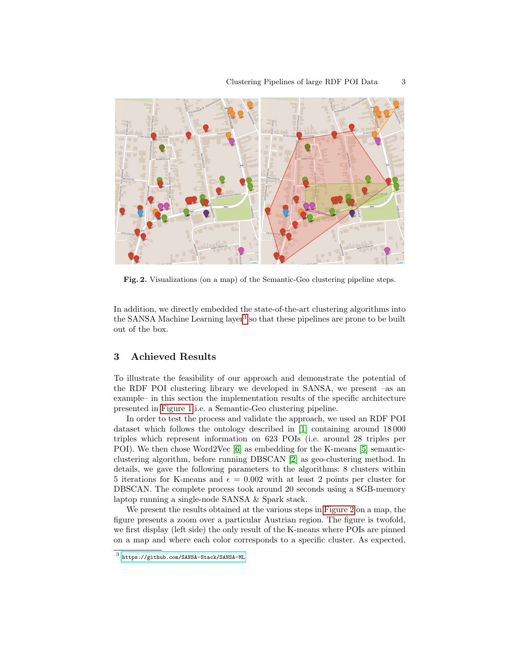

<span id="page-2-1"></span>Fig. 2. Visualizations (on a map) of the Semantic-Geo clustering pipeline steps.

In addition, we directly embedded the state-of-the-art clustering algorithms into the SANSA Machine Learning layer<sup>[3](#page-2-0)</sup> so that these pipelines are prone to be built out of the box.

## 3 Achieved Results

To illustrate the feasibility of our approach and demonstrate the potential of the RDF POI clustering library we developed in SANSA, we present –as an example– in this section the implementation results of the specific architecture presented in [Figure 1](#page-1-0) i.e. a Semantic-Geo clustering pipeline.

In order to test the process and validate the approach, we used an RDF POI dataset which follows the ontology described in [\[1\]](#page-3-4) containing around 18 000 triples which represent information on 623 POIs (i.e. around 28 triples per POI). We then chose Word2Vec [\[6\]](#page-3-5) as embedding for the K-means [\[5\]](#page-3-6) semanticclustering algorithm, before running DBSCAN [\[2\]](#page-3-7) as geo-clustering method. In details, we gave the following parameters to the algorithms: 8 clusters within 5 iterations for K-means and  $\epsilon = 0.002$  with at least 2 points per cluster for DBSCAN. The complete process took around 20 seconds using a 8GB-memory laptop running a single-node SANSA & Spark stack.

We present the results obtained at the various steps in [Figure 2](#page-2-1) on a map, the figure presents a zoom over a particular Austrian region. The figure is twofold, we first display (left side) the only result of the K-means where POIs are pinned on a map and where each color corresponds to a specific cluster. As expected,

<span id="page-2-0"></span><sup>3</sup> <https://github.com/SANSA-Stack/SANSA-ML>